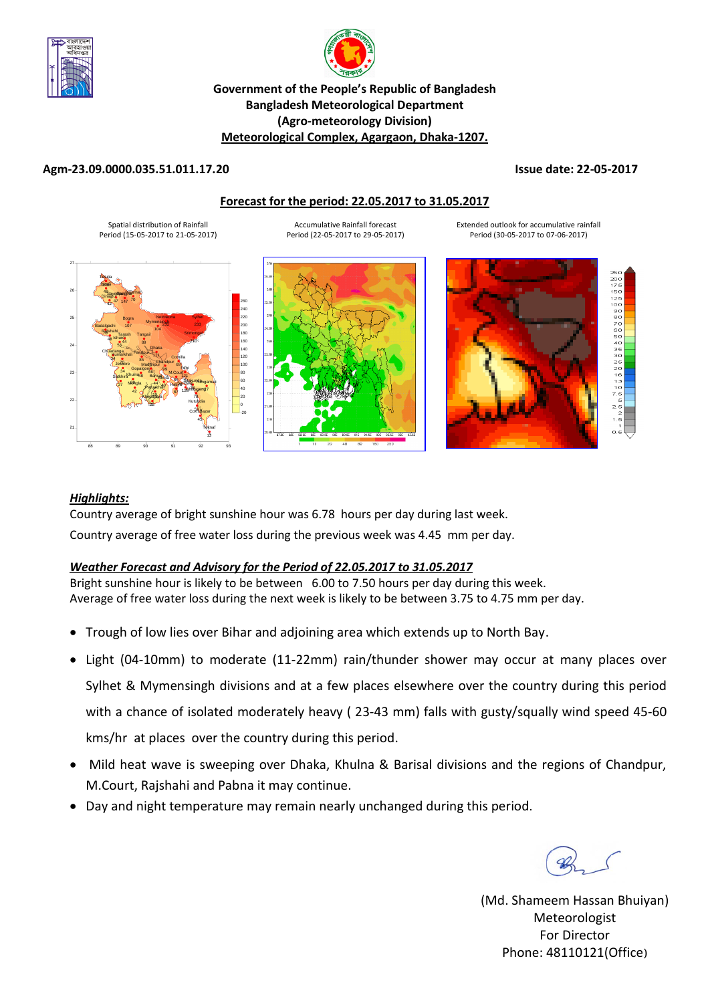



## **Government of the People's Republic of Bangladesh Bangladesh Meteorological Department (Agro-meteorology Division) Meteorological Complex, Agargaon, Dhaka-1207.**

### **Agm-23.09.0000.035.51.011.17.20 Issue date: 22-05-2017**

#### **Forecast for the period: 22.05.2017 to 31.05.2017**

Spatial distribution of Rainfall Period (15-05-2017 to 21-05-2017)

Accumulative Rainfall forecast Period (22-05-2017 to 29-05-2017)







Extended outlook for accumulative rainfall Period (30-05-2017 to 07-06-2017)

### *Highlights:*

Country average of bright sunshine hour was 6.78 hours per day during last week. Country average of free water loss during the previous week was 4.45 mm per day.

## *Weather Forecast and Advisory for the Period of 22.05.2017 to 31.05.2017*

Bright sunshine hour is likely to be between 6.00 to 7.50 hours per day during this week. Average of free water loss during the next week is likely to be between 3.75 to 4.75 mm per day.

- Trough of low lies over Bihar and adjoining area which extends up to North Bay.
- Light (04-10mm) to moderate (11-22mm) rain/thunder shower may occur at many places over Sylhet & Mymensingh divisions and at a few places elsewhere over the country during this period with a chance of isolated moderately heavy ( 23-43 mm) falls with gusty/squally wind speed 45-60 kms/hr at places over the country during this period.
- Mild heat wave is sweeping over Dhaka, Khulna & Barisal divisions and the regions of Chandpur, M.Court, Rajshahi and Pabna it may continue.
- Day and night temperature may remain nearly unchanged during this period.

(Md. Shameem Hassan Bhuiyan) Meteorologist For Director Phone: 48110121(Office)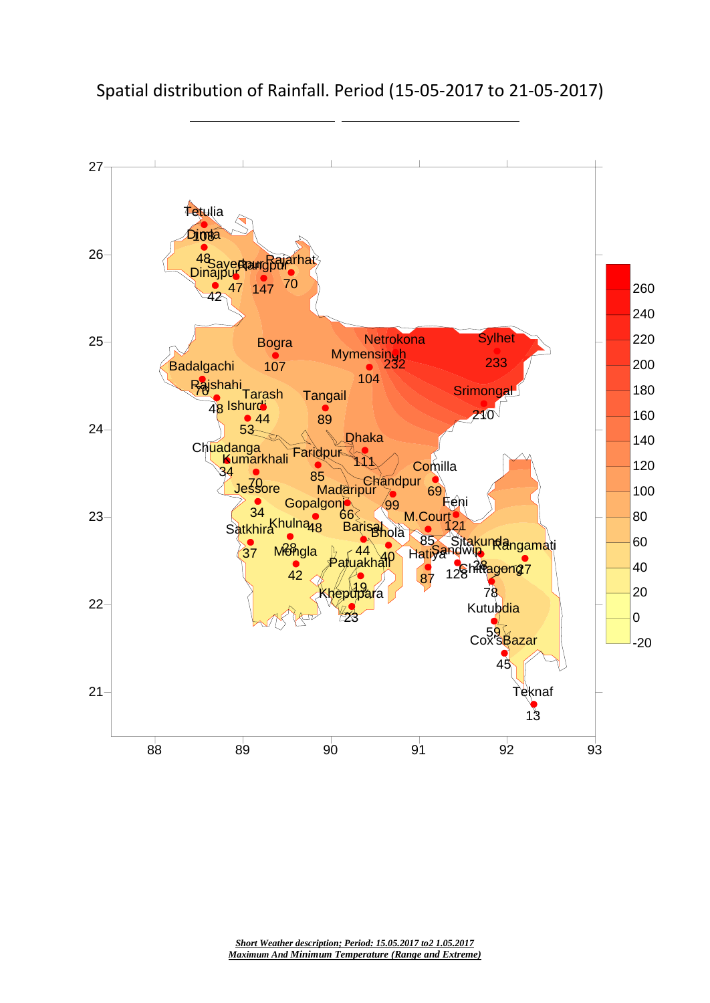Spatial distribution of Rainfall. Period (15-05-2017 to 21-05-2017)

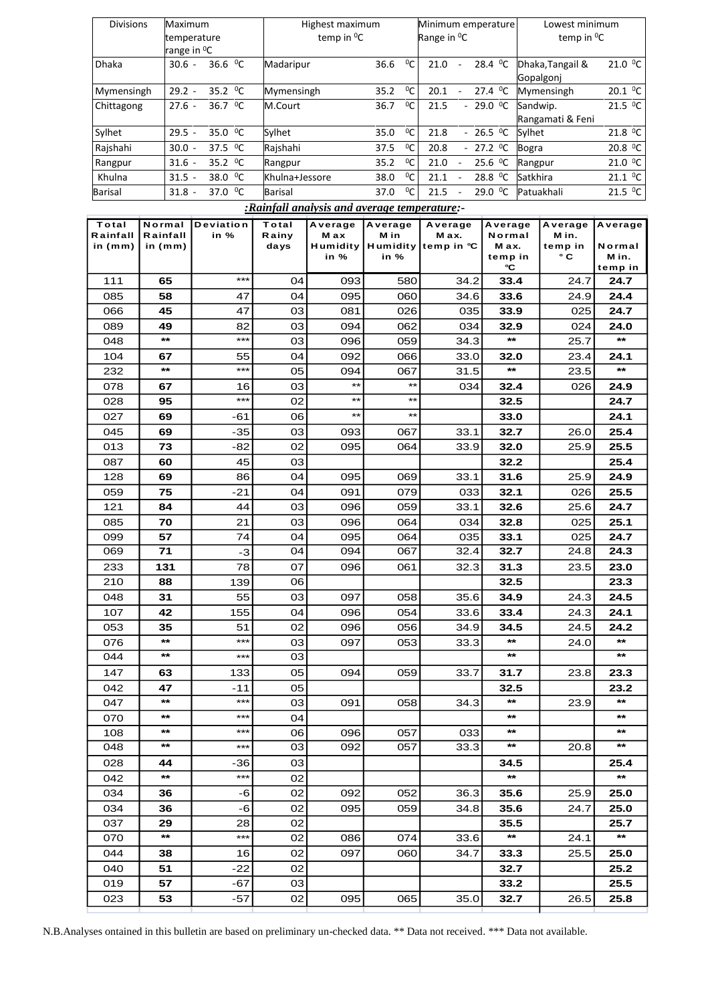| <b>Divisions</b>                                           |                 | Maximum                         |                     |                | Highest maximum              |                           |           |                                       |                                | Minimum emperature            | Lowest minimum                    |                         |                  |  |
|------------------------------------------------------------|-----------------|---------------------------------|---------------------|----------------|------------------------------|---------------------------|-----------|---------------------------------------|--------------------------------|-------------------------------|-----------------------------------|-------------------------|------------------|--|
|                                                            |                 |                                 | temperature         |                | temp in <sup>0</sup> C       |                           |           |                                       | Range in <sup>o</sup> C        |                               | temp in <sup>0</sup> C            |                         |                  |  |
|                                                            |                 | range in <sup>o</sup> C         |                     |                |                              |                           |           |                                       |                                |                               |                                   |                         |                  |  |
| Dhaka                                                      |                 | 36.6 <sup>0</sup> C<br>$30.6 -$ |                     |                | $^{0}C$<br>36.6<br>Madaripur |                           |           | 28.4 <sup>0</sup> C<br>21.0<br>$\sim$ |                                |                               | 21.0 °C<br>Dhaka, Tangail &       |                         |                  |  |
|                                                            |                 |                                 |                     |                |                              |                           |           |                                       |                                |                               | Gopalgoni                         |                         |                  |  |
| Mymensingh                                                 |                 | $29.2 -$                        | 35.2 <sup>0</sup> C | Mymensingh     |                              | 35.2                      | $^{0}C$   | 20.1                                  | $\sim$                         | 27.4 <sup>0</sup> C           |                                   | Mymensingh              | 20.1 °C          |  |
| Chittagong                                                 |                 | $27.6 -$                        | 36.7 <sup>0</sup> C | M.Court        |                              | 36.7                      | ${}^{0}C$ | 21.5                                  |                                | $-29.0$ <sup>0</sup> C        | Sandwip.                          |                         | 21.5 °C          |  |
|                                                            |                 |                                 |                     |                |                              |                           |           |                                       |                                |                               |                                   | Rangamati & Feni        |                  |  |
| Sylhet                                                     |                 | $29.5 -$                        | 35.0 <sup>0</sup> C |                | Sylhet                       |                           | $^{0}C$   | $-26.5$ <sup>o</sup> C<br>21.8        |                                | 21.8 <sup>0</sup> C<br>Sylhet |                                   |                         |                  |  |
| Rajshahi                                                   |                 | $30.0 -$                        | 37.5 <sup>0</sup> C | Rajshahi       |                              | 35.0<br>37.5              |           |                                       | $-27.2$ <sup>0</sup> C<br>20.8 |                               |                                   | 20.8 °C<br><b>Bogra</b> |                  |  |
|                                                            |                 |                                 |                     |                |                              | <sup>0</sup> C<br>$^{0}C$ |           |                                       |                                | 25.6 <sup>0</sup> C           |                                   |                         |                  |  |
| Rangpur                                                    |                 | $31.6 -$                        | 35.2 <sup>0</sup> C | Rangpur        |                              | 35.2                      |           | 21.0                                  | $\blacksquare$                 |                               | Rangpur                           | 21.0 °C                 |                  |  |
| Khulna                                                     |                 | $31.5 -$                        | 38.0 <sup>0</sup> C | Khulna+Jessore |                              | 38.0                      | ${}^{0}C$ | 28.8 <sup>0</sup> C<br>21.1<br>$\sim$ |                                |                               | $21.1$ <sup>O</sup> C<br>Satkhira |                         |                  |  |
| <b>Barisal</b>                                             |                 | $31.8 -$                        | 37.0 <sup>0</sup> C | <b>Barisal</b> |                              | 37.0                      | ${}^{0}C$ | 21.5<br>29.0 °C                       |                                | Patuakhali                    |                                   | 21.5 °C                 |                  |  |
| <i><b>Exainfall analysis and average temperature:-</b></i> |                 |                                 |                     |                |                              |                           |           |                                       |                                |                               |                                   |                         |                  |  |
| Total                                                      | Normal          |                                 | Deviation           | Total          | Average                      | Average                   |           |                                       | Average                        |                               | Average                           | Average                 | Average          |  |
| Rainfall                                                   | Rainfall        |                                 | in %                | Rainy          | M ax                         | M in<br>Humidity<br>in %  |           | M ax.                                 |                                | Normal                        |                                   | M in.                   |                  |  |
| in $(mm)$                                                  | in $(mm)$       |                                 |                     | days           | Humidity<br>in %             |                           |           | temp in °C                            |                                | M ax.                         |                                   | temp in                 | Normal           |  |
|                                                            |                 |                                 |                     |                |                              |                           |           |                                       |                                | temp in<br>°C                 |                                   | $^{\circ}$ C            | M in.<br>temp in |  |
| 111                                                        | 65              |                                 | ***                 | 04             | 093                          |                           | 580       |                                       | 34.2                           | 33.4                          |                                   | 24.7                    | 24.7             |  |
| 085                                                        | 58              |                                 | 47                  | 04             | 095                          |                           | 060       | 34.6                                  |                                |                               |                                   | 24.9                    | 24.4             |  |
|                                                            |                 |                                 |                     |                |                              |                           |           | 33.6<br>33.9                          |                                |                               |                                   |                         |                  |  |
| 066                                                        | 45              |                                 | 47                  | 03             | 081                          |                           | 026       |                                       | 035                            |                               |                                   | 025                     | 24.7             |  |
| 089                                                        | 49              |                                 | 82                  | 03             | 094                          |                           | 062       |                                       | 034<br>32.9                    |                               |                                   | 024                     | 24.0             |  |
| 048                                                        | $***$           |                                 | ***                 | 03             | 096                          |                           | 059       |                                       | 34.3                           | $***$                         |                                   | 25.7                    | $\star\star$     |  |
| 104                                                        | 67              |                                 | 55                  | 04             | 092                          |                           | 066       |                                       | 33.0                           | 32.0                          |                                   | 23.4                    | 24.1             |  |
| 232                                                        | $***$           |                                 | ***                 | 05             | 094                          |                           | 067       |                                       | 31.5                           | $\star\star$                  |                                   | 23.5                    | $\star\star$     |  |
| 078                                                        | 67              |                                 | 16                  | 03             | $**$                         |                           | $**$      |                                       | 034                            | 32.4                          |                                   | 026                     | 24.9             |  |
| 028                                                        | 95              |                                 | ***                 | 02             | $***$                        |                           | $***$     |                                       |                                | 32.5                          |                                   |                         | 24.7             |  |
|                                                            |                 |                                 |                     |                | $**$                         |                           | $**$      |                                       |                                |                               |                                   |                         |                  |  |
| 027                                                        | 69              |                                 | -61                 | 06             |                              |                           |           |                                       |                                | 33.0<br>32.7                  |                                   |                         | 24.1             |  |
| 045                                                        | 69              |                                 | $-35$               | 03             | 093                          | 067                       |           | 33.1                                  |                                |                               | 26.0                              | 25.4                    |                  |  |
| 013                                                        | 73              |                                 | -82                 | 02             | 095                          |                           | 064       |                                       | 33.9                           | 32.0                          |                                   | 25.9                    | 25.5             |  |
| 087                                                        | 60              |                                 | 45                  | 03             |                              |                           |           |                                       |                                | 32.2                          |                                   |                         | 25.4             |  |
| 128                                                        | 69              |                                 | 86                  | 04             | 095                          |                           | 069       |                                       | 33.1                           | 31.6                          |                                   | 25.9                    | 24.9             |  |
| 059                                                        | 75              |                                 | $-21$               | 04             | 091                          |                           | 079       |                                       | 32.1<br>033                    |                               | 026                               | 25.5                    |                  |  |
| 121                                                        | 84              |                                 | 44                  | 03             | 096                          |                           | 059       |                                       | 33.1                           | 32.6                          |                                   | 25.6                    | 24.7             |  |
| 085                                                        | 70              |                                 | 21                  | 03             | 096                          |                           | 064       |                                       | 034                            | 32.8                          |                                   | 025                     | 25.1             |  |
| 099                                                        |                 | 57                              |                     | 04             | 095                          |                           | 064       |                                       | 035                            | 33.1                          |                                   | 025                     | 24.7             |  |
| 069                                                        | $\mathbf{71}$   |                                 | 74                  | 04             | 094                          |                           | 067       |                                       |                                |                               |                                   | 24.8                    | 24.3             |  |
|                                                            |                 |                                 | $-3$                |                |                              |                           |           |                                       | 32.7<br>32.4                   |                               |                                   |                         |                  |  |
| 233                                                        | 131             |                                 | 78                  | 07             | 096                          |                           | 061       | 32.3<br>31.3                          |                                |                               | 23.5                              | 23.0                    |                  |  |
| 210                                                        | 88              |                                 | 139                 | 06             |                              |                           |           |                                       |                                | 32.5                          |                                   |                         | 23.3             |  |
| 048                                                        | 31              |                                 | 55                  | 03             | 097                          |                           | 058       |                                       | 35.6                           | 34.9                          |                                   | 24.3                    | 24.5             |  |
| 107                                                        | 42              |                                 | 155                 | 04             | 096                          |                           | 054       |                                       | 33.6                           | 33.4                          |                                   | 24.3                    | 24.1             |  |
| 053                                                        | 35              |                                 | 51                  | 02             | 096                          |                           | 056       |                                       | 34.9<br>34.5                   |                               |                                   | 24.5                    | 24.2             |  |
| 076                                                        | $***$           |                                 | ***                 | 03             | 097                          |                           | 053       |                                       | 33.3                           | $***$                         |                                   | 24.0                    | $\star\star$     |  |
| 044                                                        | $***$           |                                 | ***                 | 03             |                              |                           |           |                                       |                                | $***$                         |                                   |                         | $***$            |  |
| 147                                                        | 63              |                                 | 133                 | 05             | 094                          |                           | 059       |                                       | 33.7                           | 31.7                          |                                   | 23.8                    | 23.3             |  |
|                                                            |                 |                                 |                     |                |                              |                           |           |                                       |                                |                               |                                   |                         |                  |  |
| 042                                                        | 47              |                                 | -11<br>***          | 05             |                              |                           |           |                                       |                                | 32.5                          |                                   |                         | 23.2             |  |
| 047                                                        | $\star\star$    |                                 |                     | 03             | 091                          |                           | 058       |                                       | 34.3                           | $\star\star$                  |                                   | 23.9                    | $\star\star$     |  |
| 070                                                        | $***$           |                                 | ***                 | 04             |                              |                           |           |                                       |                                | $***$                         |                                   |                         | $***$            |  |
| 108                                                        | $\star\star$    |                                 | ***                 | 06             | 096                          |                           | 057       |                                       | 033                            | $\star\star$                  |                                   |                         | $\star\star$     |  |
| 048                                                        | $\star\star$    |                                 | ***                 | 03             | 092                          |                           | 057       |                                       | 33.3                           | $\star\star$                  |                                   | 20.8                    | $***$            |  |
| 028                                                        | 44              |                                 | -36                 | 03             |                              |                           |           |                                       |                                | 34.5                          |                                   |                         | 25.4             |  |
| 042                                                        | $^{\star\star}$ |                                 | ***                 | 02             |                              |                           |           |                                       |                                | $\star\star$                  |                                   |                         | $^{\star\star}$  |  |
| 034                                                        | 36              |                                 |                     | 02             | 092                          |                           | 052       |                                       | 36.3                           |                               |                                   | 25.9                    | 25.0             |  |
|                                                            |                 |                                 | -6                  |                |                              |                           |           |                                       |                                | 35.6                          |                                   |                         |                  |  |
| 034                                                        | 36              |                                 | $-6$                | 02             | 095                          |                           | 059       |                                       | 34.8                           | 35.6                          |                                   | 24.7                    | 25.0             |  |
| 037                                                        | 29              |                                 | 28                  | 02             |                              |                           |           |                                       |                                | 35.5                          |                                   |                         | 25.7             |  |
| 070                                                        | $\star\star$    |                                 | ***                 | 02             | 086                          |                           | 074       |                                       | 33.6                           | $\star\star$                  |                                   | 24.1                    | $***$            |  |
| 044                                                        | 38              |                                 | 16                  | 02             | 097                          |                           | 060       |                                       | 34.7                           | 33.3                          |                                   | 25.5                    | 25.0             |  |
| 040                                                        | 51              |                                 | -22                 | 02             |                              |                           |           |                                       |                                | 32.7                          |                                   |                         | 25.2             |  |
| 019                                                        |                 | 57                              | -67                 | 03             |                              |                           |           |                                       |                                | 33.2                          |                                   |                         | 25.5             |  |
| 023                                                        | 53              |                                 | $-57$               | 02             | 095                          |                           | 065       |                                       | 35.0                           | 32.7                          |                                   | 26.5                    | 25.8             |  |
|                                                            |                 |                                 |                     |                |                              |                           |           |                                       |                                |                               |                                   |                         |                  |  |

N.B.Analyses ontained in this bulletin are based on preliminary un-checked data. \*\* Data not received. \*\*\* Data not available.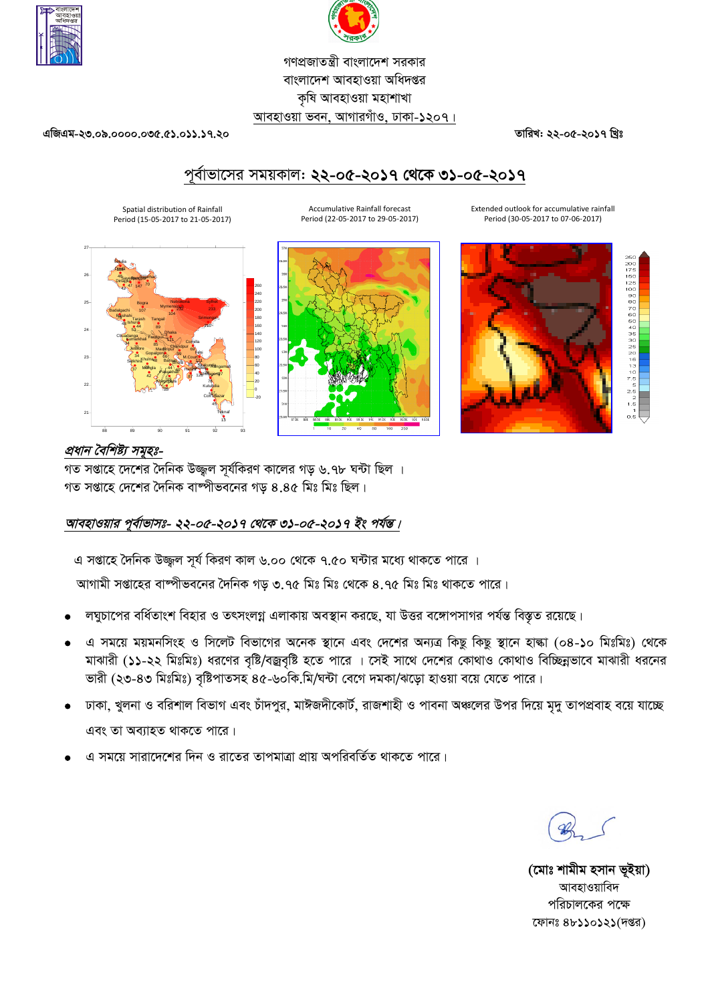



## *গণপ্ৰজাতন্ত্ৰী বাংলাদেশ সৱকার বাংলাদে*শ আবহাওয়া অধিদপ্তর *কৃষি আবহাওয়া মহাশাখা* **আবহাওয়া ভবন, আগারগাঁও, ঢাকা-১২০৭।**

*GwRGg-23.09.0000.035.51.011.17.20**ZvwiL: 22-05-2017 wLªt*

# *c~e©vfv‡mi mgqKvj: 22-05-2017 †\_‡K 31-05-2017*

Accumulative Rainfall forecast Period (22-05-2017 to 29-05-2017)

Spatial distribution of Rainfall Period (15-05-2017 to 21-05-2017)





Extended outlook for accumulative rainfall Period (30-05-2017 to 07-06-2017)



## *প্ৰধান বৈশিষ্ট্য সমৃহঃ-*

গত সপ্তাহে দেশের দৈনিক উজ্জল সূর্যকিরণ কালের গড় ৬.৭৮ ঘন্টা ছিল । গত সপ্তাহে দেশের দৈনিক বাষ্পীভবনের গড় ৪.৪৫ মিঃ মিঃ ছিল।

## *আবহাওয়ার পূর্বাভাসঃ- ২২-০৫-২০১৭ থেকে ৩১-০৫-২০১৭ ইং পর্যন্ত।*

*G mßv‡n ˆ`wbK D¾¡j m~h© wKiY Kvj 6.00 †\_‡K 7.50 N›Uvi g‡a¨ \_vK‡Z cv‡i |*

 $\overline{\mathbf{a}}$  সঞ্জাহের বাম্পীভবনের দৈনিক গড় ৩.৭৫ মিঃ মিঃ থেকে ৪.৭৫ মিঃ মিঃ থাকতে পারে।

- *jNyPv‡ci ewa©Zvsk wenvi I ZrmsjMœ GjvKvq Ae¯'vb Ki‡Q, hv DËi e‡½vcmvMi ch©šÍ we¯Í…Z i‡q‡Q|*
- *G mg‡q gqgbwmsn I wm‡jU wefv‡Mi A‡bK ¯'v‡b Ges †`‡ki Ab¨Î wKQz wKQz ¯'v‡b nvév (04-10 wgtwgt) †\_‡K*  মাঝারী (১১-২২ মিঃমিঃ) ধরণের বৃষ্টি/বজ্রবৃষ্টি হতে পারে । সেই সাথে দেশের কোথাও কোথাও বিচ্ছিন্নভাবে মাঝারী ধরনের *ভা*রী (২৩-৪৩ মিঃমিঃ) বৃষ্টিপাতসহ ৪৫-৬০কি.মি/ঘন্টা বেগে দমকা/ঝড়ো হাওয়া বয়ে যেতে পারে।
- *স*্টাকা, খুলনা ও বরিশাল বিভাগ এবং চাঁদপুর, মাঈজদীকোর্ট, রাজশাহী ও পাবনা অঞ্চলের উপর দিয়ে মৃদু তাপপ্রবাহ বয়ে যাচ্ছে <u>এবং তা অব্যাহত থাকতে পারে।</u>
- *G mg‡q mviv‡`‡ki w`b I iv‡Zi ZvcgvÎv cÖvq AcwiewZ©Z \_vK‡Z cv‡i|*

*(*মোঃ শামীম হসান ভূইয়া) **আবহাওয়াবিদ** *প*রিচালকের পক্ষে *‡dvbt 48110121(`ßi)*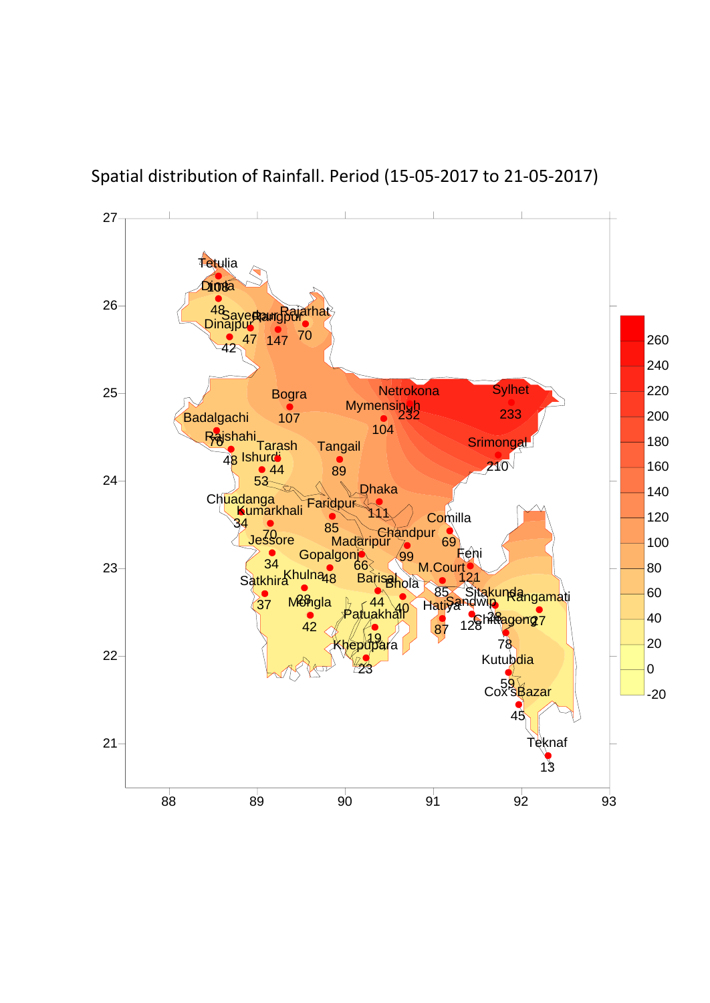

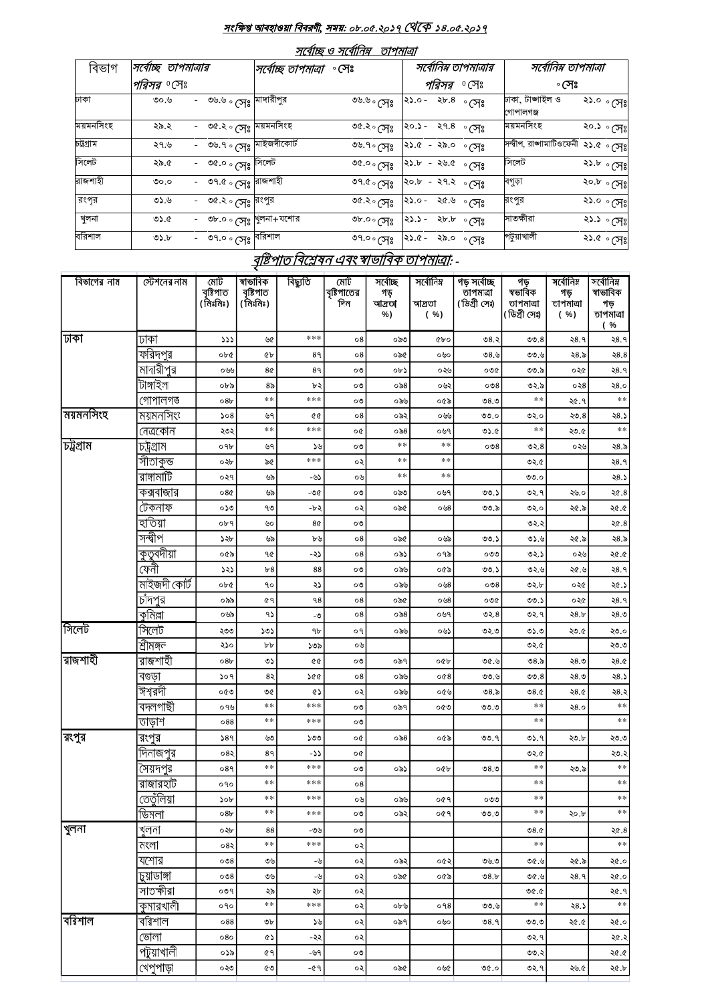## সংক্ষিপ্ত আবহাওয়া ক্ষববরণী, সময়: *08.05.2017 14.05.2017*

| সর্বোচ্ছ ও সর্বোনিম্ন | তাপমাত্ৰা |
|-----------------------|-----------|
|                       |           |

| বিভাগ     | সর্বোচ্ছ তাপমাত্রার |                                                  | সর্বোচ্ছ তাপমাত্রা | সর্বোনিম্ন তাপমাত্রার<br>∘ সেঃ |                          |                | সর্বোনিম্ন তাপমাত্রা<br>∘ সেঃ      |                         |  |
|-----------|---------------------|--------------------------------------------------|--------------------|--------------------------------|--------------------------|----------------|------------------------------------|-------------------------|--|
|           | <i>পরিসর ত</i> ণেঃ  |                                                  |                    | পরিসর<br>∘শেঃ                  |                          |                |                                    |                         |  |
| ঢাকা      | ৩০.৬                | - ৩৬.৬ <sub>°</sub> সেঃ মাদারীপুর                |                    | ৩৬.৬ ৹ সেঃ                     | $\lambda b.8$<br>$-0.65$ | $^{\circ}$ সেঃ | ঢাকা, টাঙ্গাইল ও<br>গোপালগঞ্জ      | ২১.০ ৽সেঃ               |  |
| ময়মনসিংহ | ২৯.২                | - ৩৫.২ ৹ কোঃ ময়মনসিংহ                           |                    | ৩৫.২ <sub>০ সেঃ</sub>          | - २१.४<br>২০.১ -         | ∘ সেঃ          | ময়মনসিংহ                          | ২০.১ ৽সেঃ               |  |
| চট্টগ্ৰাম | ২৭.৬                | - ৩৬.৭ <sub>০ (সিঃ</sub> মাইজদীকোর্ট             |                    | ৩৬.৭ و می                      | ২১.৫ - ২৯.০              | ∘ সেঃ          | সন্দ্বীপ, রাজামাটিওফেনী ২১.৫ ৽ সেঃ |                         |  |
| সিলেট     | ২৯.৫                | - ৩৫.০ <sub>০ (সেঃ</sub> সিলেট                   |                    | ৩৫.০ $\circ$ সেঃ               | ২১.৮<br>-২৬.৫            | ∘ সেঃ          | সিলেট                              | ২১.৮ ৽সেঃ               |  |
| রাজশাহী   | 0.00                | - ৩৭.৫ <sub>০ (</sub> সঃ <mark>রাজশাহী</mark>    |                    | ৩৭.৫ $\circ$ সেঃ               | $20.5 - 29.2$            | ∘ সেঃ          | বগুড়া                             | ২০.৮ ৽সেঃ               |  |
| রংপর      | ৩১.৬                | ৩৫.২ ৹ সেঃ <sup>বিংপুর</sup><br>$\sim$ 100 $\mu$ |                    | ৩৫.২० সেঃ                      | $25.0 -$<br>২৫.৬         | ∘ সেঃ          | রংপুর                              | ২১.০ ৽সেঃ               |  |
| খুলনা     | 0.60                | - ৩৮.০ ৹ সেঃ খুলনা+যশোর                          |                    | ৩৮.০ $\circ$ সেঃ               | $23.5 -$<br>২৮.৮         | ∘ সেঃ          | সাতক্ষীরা                          | ২১.১ <sub>৽ সেঃ</sub> ৷ |  |
| বরিশাল    | 0.6                 | - ৩৭.০ ৽ সেঃ <sup>বরিশাল</sup>                   |                    | ৩৭.০ $\circ$ সেঃ               | ২১.৫-২৯.০                | ∘ সেঃ          | পটুয়াখালী                         | ২১.৫ - সেঃ              |  |

## <u> বৃষ্টিপাত বিশ্লেষন এবং স্বাভাবিক তাপমাত্রা</u>: -

| বিভাগের নাম | স্টেশনের নাম           | মোট<br>বৃষ্টিপাত<br>(মিঃমিঃ)       | স্বাভাবিক<br>বৃষ্টিপাত<br>(মিঃমিঃ) | বিছ্যুতি   | মোট<br>বৃষ্টিপাতের<br>দিন | সৰ্বোচ্ছ<br>গড়<br>আদ্ৰতা<br>%) | সৰ্বোনিম্ন<br>আদ্ৰতা<br>$(*)$ | গড় সৰ্বোচ্ছ<br>তাপমাত্রা<br>(ডিগ্ৰী সেঃ) | গড়<br>স্বভাবিক<br>তাপমাত্ৰা<br>(ডিগ্ৰী সেঃ) | সৰ্বোনিম্ন<br>গড়<br>তাপমাত্ৰা<br>$(*\%)$ | সৰ্বোনিম্ন<br>স্বাভাবিক<br>গড়<br>তাপমাত্ৰা<br>$\%$<br>( |
|-------------|------------------------|------------------------------------|------------------------------------|------------|---------------------------|---------------------------------|-------------------------------|-------------------------------------------|----------------------------------------------|-------------------------------------------|----------------------------------------------------------|
| ঢাকা        | ঢাকা                   | 555                                | ৬৫                                 | ***        | $\circ 8$                 | ০৯৩                             | <b>CPO</b>                    | 08.3                                      | 00.8                                         | २8.१                                      | २8.१                                                     |
|             | ফরিদপুর                | ০৮৫                                | <b>GP</b>                          | 89         | 08                        | ০৯৫                             | ০৬০                           | ৩৪.৬                                      | ৩৩.৬                                         | ২8.৯                                      | 28.8                                                     |
|             | মাদারীপুর              | ০৬৬                                | 8¢                                 | 8٩         | ೦७                        | ০৮১                             | ০২৬                           | ০৩৫                                       | ৩৩.৯                                         | ০২৫                                       | २8.१                                                     |
|             | টাঙ্গাইল               | ০৮৯                                | 85                                 | ৮২         | ০৩                        | ০৯৪                             | ০৬২                           | 008                                       | ৩২.৯                                         | ০২8                                       | २8.०                                                     |
|             | গোপালগত্ত              | 08b                                | $**$                               | ***        | ০৩                        | ০৯৬                             | ০৫৯                           | 08.0                                      | $**$                                         | ২৫.৭                                      | $\ast\ast$                                               |
| ময়মনসিংহ   | ময়মনসিংং              | 508                                | ৬৭                                 | QG         | 08                        | ০৯২                             | ০৬৬                           | 00.0                                      | ৩২.০                                         | ২৩.৪                                      | ২8.১                                                     |
|             | নেত্ৰকোন               | ২৩২                                | **                                 | ***        | o¢                        | ০৯ $8$                          | ০৬৭                           | ৩১.৫                                      | $***$                                        | ২৩.৫                                      | $\ast\ast$                                               |
| চট্ৰগ্ৰাম   | চট্ৰগ্ৰাম              | ०१৮                                | ৬৭                                 | ১৬         | ০৩                        | $**$                            | $* *$                         | 008                                       | ৩২. $8$                                      | ০২৬                                       | ২8.৯                                                     |
|             | সীতাকুন্ড              | ০২৮                                | ৯৫                                 | ***        | ০২                        | $***$                           | $* *$                         |                                           | ৩২.৫                                         |                                           | २8.१                                                     |
|             | রাঙ্গামাটি             | ०२१                                | ৬৯                                 | -৬১        | ০৬                        | $**$                            | $\ast\ast$                    |                                           | 0.00                                         |                                           | 28.5                                                     |
|             | কক্সবাজার              | 08Q                                | ৬৯                                 | -৩৫        | ০৩                        | ০৯৩                             | ০৬৭                           | 00.5                                      | ৩২.৭                                         | ২৬.০                                      | 20.8                                                     |
|             | টেকনাফ                 | ০১৩                                | ৭৩                                 | -৮২        | ০২                        | ০৯৫                             | ০৬8                           | ৩৩.৯                                      | ৩২.০                                         | ২৫.৯                                      | ২৫.৫                                                     |
|             | হাতিয়া                | ०৮৭                                | ৬০                                 | 8¢         | ০৩                        |                                 |                               |                                           | ৩২.২                                         |                                           | 20.8                                                     |
|             | সন্দ্বীপ               | ১২৮                                | ৬৯                                 | ৮৬         | $\circ 8$                 | ০৯৫                             | ০৬৯                           | 00.5                                      | ৩১.৬                                         | ২৫.৯                                      | ২8.৯                                                     |
|             | <u>কৃতু</u> বদীয়া     | ০৫৯                                | 90                                 | -২১        | 08                        | ০৯১                             | ০৭৯                           | ೲ                                         | ৩২.১                                         | ০২৬                                       | 20.05                                                    |
|             | ফেনী                   | ১২১                                | b8                                 | 88         | ০৩                        | ০৯৬                             | ০৫৯                           | ৩৩.১                                      | ৩২.৬                                         | ২৫.৬                                      | २8.१                                                     |
|             | মাইজদী কোৰ্ট           | ০৮৫                                | ٩o                                 | ২১         | ০৩                        | ০৯৬                             | ০৬৪                           | 008                                       | ৩২.৮                                         | ০২৫                                       | ২৫.১                                                     |
|             | চাঁদপুর                | ০৯৯                                | 69                                 | ۹8         | 08                        | ০৯৫                             | ০৬৪                           | ০৩৫                                       | ৩৩.১                                         | ০২৫                                       | २8.१                                                     |
|             | কুমিল্লা               | ০৬৯                                | ۹১                                 | -৩         | 08                        | ০৯৪                             | ০৬৭                           | ৩২. $8$                                   | ৩২.৭                                         | ২8.৮                                      | ২ $8.9$                                                  |
| সিলেট       | সিলেট                  | ২৩৩                                | ১৩১                                | ٩b         | ο٩                        | ০৯৬                             | ০৬১                           | ৩২৩                                       | ৩১.৩                                         | ২৩.৫                                      | ২৩.০                                                     |
|             | শ্ৰীমঙ্গল              | ২১০                                | bb                                 | ১৩৯        | ০৬                        |                                 |                               |                                           | ৩২.৫                                         |                                           | ২৩.৩                                                     |
| রাজশাহী     | রাজশাহী                | 08 <sub>b</sub>                    | ৩১                                 | QG         | ০৩                        | ০৯৭                             | oQp                           | ৩৫.৬                                      | ৩৪.৯                                         | ২8.৩                                      | 28.0                                                     |
|             | বগুড়া                 | 509                                | 8২                                 | 200        | $\circ 8$                 | ০৯৬                             | 008                           | ৩৩.৬                                      | 00.8                                         | ২8.৩                                      | 28.5                                                     |
|             | ঈশ্বরদী                | ০৫৩                                | ৩৫                                 | ¢۵         | ০২                        | ০৯৬                             | ০৫৬                           | 08.5                                      | 08.0                                         | ২8.৫                                      | ২৪.২                                                     |
|             | বদলগাছী                | ০৭৬                                | $**$<br>$**$                       | ***        | ০৩                        | ০৯৭                             | ০৫৩                           | ৩৩.৩                                      | $**$<br>$**$                                 | २8.०                                      | $\ast\ast$<br>$\ast\ast$                                 |
|             | তাড়াশ                 | 088                                |                                    | ***        | ০৩                        |                                 |                               |                                           |                                              |                                           |                                                          |
| রংপুর       | রংপুর                  | 589                                | ৬৩                                 | ১৩৩        | o¢                        | $\circ$ ನಿ8                     | ০৫৯                           | 00.9                                      | ৩১.৭                                         | ২৩.৮                                      | ২৩.৩                                                     |
|             | দিনাজপুর               | ০৪২                                | 8٩<br>$**$                         | دد-<br>*** | o¢                        |                                 |                               |                                           | ৩২.৫<br>$**$                                 |                                           | ২৩.২<br>$\ast\ast$                                       |
|             | সৈয়দপুর               | 089                                | $**$                               | ***        | ০৩                        | ০৯১                             | oQp                           | 08.0                                      | $**$                                         | ২৩ ৯                                      | $\ast\ast$                                               |
|             | রাজারহাট<br>তেতুঁলিয়া | ०१०                                | **                                 | ***        | 08                        |                                 |                               |                                           | $***$                                        |                                           | $\ast\ast$                                               |
|             | ডিমলা                  | 50 <sub>b</sub><br>08 <sub>b</sub> | $\ast\ast$                         | ***        | ০৬<br>০৩                  | ০৯৬                             | ०৫१                           | ೦೮೮                                       | $***$                                        |                                           | $\ast\ast$                                               |
| খুলনা       |                        |                                    |                                    |            |                           | ০৯২                             | ०৫१                           | 0.00                                      |                                              | ২০.৮                                      |                                                          |
|             | খুলনা<br>মংলা          | ০২৮<br>০৪২                         | 88<br>$***$                        | -৩৬<br>*** | ০৩                        |                                 |                               |                                           | 08.0<br>$\ast$ $\ast$                        |                                           | ২৫.8<br>$\ast\ast$                                       |
|             | যশোর                   |                                    |                                    |            | ০২                        |                                 |                               |                                           |                                              |                                           |                                                          |
|             | চুয়াডাঙ্গা            | 008<br>008                         | ৩৬                                 | -৬<br>-৬   | ০২<br>০২                  | ০৯২<br>০৯৫                      | ০৫২                           | ৩৬.৩<br>08.5                              | ৩৫.৬<br>৩৫.৬                                 | ২৫.৯<br>२8.१                              | ২৫.০<br>২৫.০                                             |
|             | সাতক্ষীরা              | ०७१                                | ৩৬                                 | ২৮         | ০২                        |                                 | ০৫৯                           |                                           | 0.90                                         |                                           | ২৫.৭                                                     |
|             | কুমারখালী              | ०१०                                | ২৯<br>**                           | ***        | ০২                        | ০৮৬                             | ०१8                           | ৩৩.৬                                      | $**$                                         | ২৪.১                                      | $***$                                                    |
| বরিশাল      | বরিশাল                 | 088                                | ৩৮                                 | ১৬         | ০২                        | ০৯৭                             | ০৬০                           | 08.9                                      | 0.0                                          | ২৫.৫                                      | ২৫.০                                                     |
|             | ভোলা                   | 080                                | ¢۵                                 | -২২        | ০২                        |                                 |                               |                                           | ৩২.৭                                         |                                           | ২৫.২                                                     |
|             | পটুয়াখালী             | ০১৯                                | 69                                 | -৬৭        | ০৩                        |                                 |                               |                                           | ৩৩.২                                         |                                           | ১.৩۶                                                     |
|             | খেপুপাড়া              |                                    |                                    |            |                           |                                 |                               |                                           |                                              |                                           |                                                          |
|             |                        | ০২৩                                | ৫৩                                 | -৫ ዓ       | ০২                        | ০৯৫                             | ০৬৫                           | 0.90                                      | ৩২.৭                                         | ২৬.৫                                      | ২৫.৮                                                     |